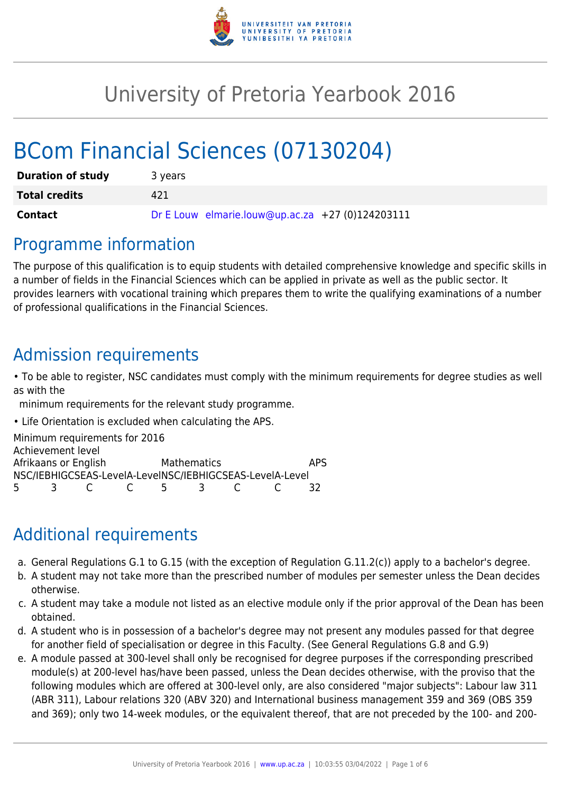

# University of Pretoria Yearbook 2016

# BCom Financial Sciences (07130204)

| <b>Duration of study</b> | 3 years                                          |
|--------------------------|--------------------------------------------------|
| <b>Total credits</b>     | 421                                              |
| Contact                  | Dr E Louw elmarie.louw@up.ac.za +27 (0)124203111 |

### Programme information

The purpose of this qualification is to equip students with detailed comprehensive knowledge and specific skills in a number of fields in the Financial Sciences which can be applied in private as well as the public sector. It provides learners with vocational training which prepares them to write the qualifying examinations of a number of professional qualifications in the Financial Sciences.

## Admission requirements

• To be able to register, NSC candidates must comply with the minimum requirements for degree studies as well as with the

minimum requirements for the relevant study programme.

• Life Orientation is excluded when calculating the APS.

Minimum requirements for 2016 Achievement level Afrikaans or English Mathematics APS NSC/IEBHIGCSEAS-LevelA-LevelNSC/IEBHIGCSEAS-LevelA-Level 5 3 C C 5 3 C C 32

# Additional requirements

- a. General Regulations G.1 to G.15 (with the exception of Regulation G.11.2(c)) apply to a bachelor's degree.
- b. A student may not take more than the prescribed number of modules per semester unless the Dean decides otherwise.
- c. A student may take a module not listed as an elective module only if the prior approval of the Dean has been obtained.
- d. A student who is in possession of a bachelor's degree may not present any modules passed for that degree for another field of specialisation or degree in this Faculty. (See General Regulations G.8 and G.9)
- e. A module passed at 300-level shall only be recognised for degree purposes if the corresponding prescribed module(s) at 200-level has/have been passed, unless the Dean decides otherwise, with the proviso that the following modules which are offered at 300-level only, are also considered "major subjects": Labour law 311 (ABR 311), Labour relations 320 (ABV 320) and International business management 359 and 369 (OBS 359 and 369); only two 14-week modules, or the equivalent thereof, that are not preceded by the 100- and 200-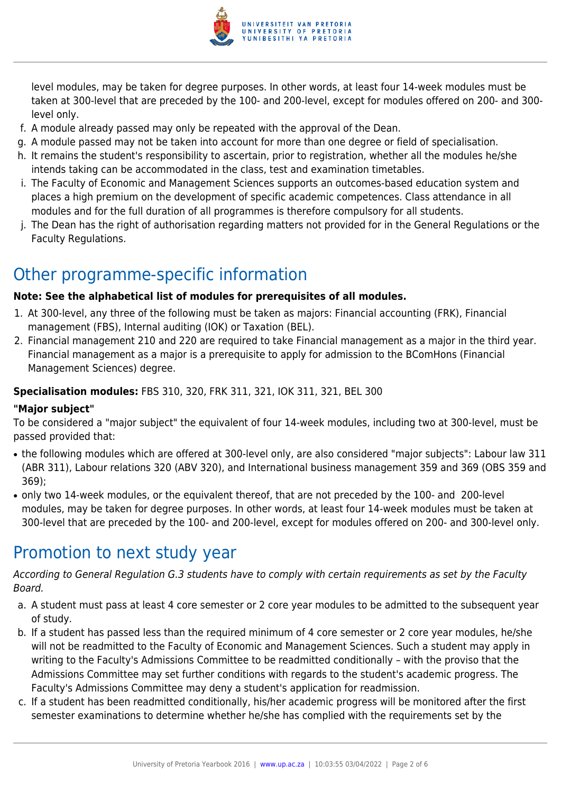

level modules, may be taken for degree purposes. In other words, at least four 14-week modules must be taken at 300-level that are preceded by the 100- and 200-level, except for modules offered on 200- and 300 level only.

- f. A module already passed may only be repeated with the approval of the Dean.
- g. A module passed may not be taken into account for more than one degree or field of specialisation.
- h. It remains the student's responsibility to ascertain, prior to registration, whether all the modules he/she intends taking can be accommodated in the class, test and examination timetables.
- i. The Faculty of Economic and Management Sciences supports an outcomes-based education system and places a high premium on the development of specific academic competences. Class attendance in all modules and for the full duration of all programmes is therefore compulsory for all students.
- j. The Dean has the right of authorisation regarding matters not provided for in the General Regulations or the Faculty Regulations.

# Other programme-specific information

#### **Note: See the alphabetical list of modules for prerequisites of all modules.**

- 1. At 300-level, any three of the following must be taken as majors: Financial accounting (FRK), Financial management (FBS), Internal auditing (IOK) or Taxation (BEL).
- 2. Financial management 210 and 220 are required to take Financial management as a major in the third year. Financial management as a major is a prerequisite to apply for admission to the BComHons (Financial Management Sciences) degree.

#### **Specialisation modules:** FBS 310, 320, FRK 311, 321, IOK 311, 321, BEL 300

#### **"Major subject"**

To be considered a "major subject" the equivalent of four 14-week modules, including two at 300-level, must be passed provided that:

- the following modules which are offered at 300-level only, are also considered "major subjects": Labour law 311 (ABR 311), Labour relations 320 (ABV 320), and International business management 359 and 369 (OBS 359 and 369);
- only two 14-week modules, or the equivalent thereof, that are not preceded by the 100- and 200-level modules, may be taken for degree purposes. In other words, at least four 14-week modules must be taken at 300-level that are preceded by the 100- and 200-level, except for modules offered on 200- and 300-level only.

# Promotion to next study year

According to General Regulation G.3 students have to comply with certain requirements as set by the Faculty Board.

- a. A student must pass at least 4 core semester or 2 core year modules to be admitted to the subsequent year of study.
- b. If a student has passed less than the required minimum of 4 core semester or 2 core year modules, he/she will not be readmitted to the Faculty of Economic and Management Sciences. Such a student may apply in writing to the Faculty's Admissions Committee to be readmitted conditionally – with the proviso that the Admissions Committee may set further conditions with regards to the student's academic progress. The Faculty's Admissions Committee may deny a student's application for readmission.
- c. If a student has been readmitted conditionally, his/her academic progress will be monitored after the first semester examinations to determine whether he/she has complied with the requirements set by the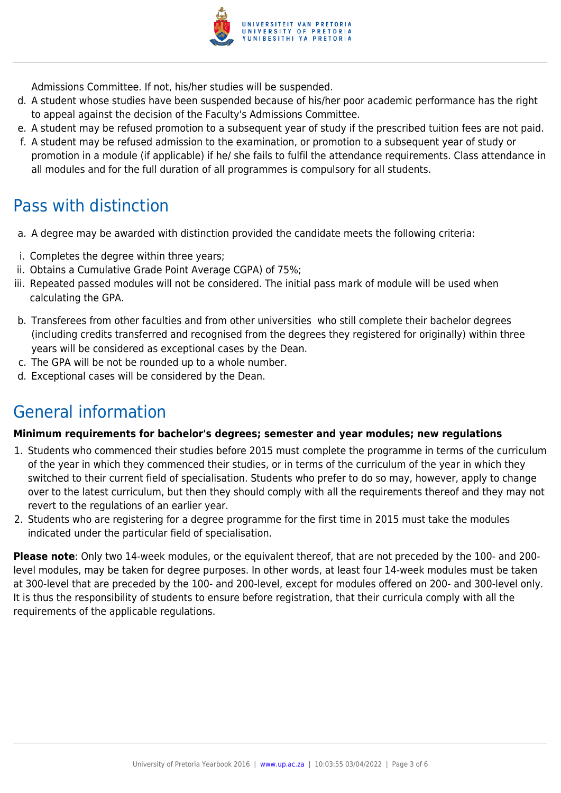

Admissions Committee. If not, his/her studies will be suspended.

- d. A student whose studies have been suspended because of his/her poor academic performance has the right to appeal against the decision of the Faculty's Admissions Committee.
- e. A student may be refused promotion to a subsequent year of study if the prescribed tuition fees are not paid.
- f. A student may be refused admission to the examination, or promotion to a subsequent year of study or promotion in a module (if applicable) if he/ she fails to fulfil the attendance requirements. Class attendance in all modules and for the full duration of all programmes is compulsory for all students.

### Pass with distinction

- a. A degree may be awarded with distinction provided the candidate meets the following criteria:
- i. Completes the degree within three years;
- ii. Obtains a Cumulative Grade Point Average CGPA) of 75%;
- iii. Repeated passed modules will not be considered. The initial pass mark of module will be used when calculating the GPA.
- b. Transferees from other faculties and from other universities who still complete their bachelor degrees (including credits transferred and recognised from the degrees they registered for originally) within three years will be considered as exceptional cases by the Dean.
- c. The GPA will be not be rounded up to a whole number.
- d. Exceptional cases will be considered by the Dean.

## General information

#### **Minimum requirements for bachelor's degrees; semester and year modules; new regulations**

- 1. Students who commenced their studies before 2015 must complete the programme in terms of the curriculum of the year in which they commenced their studies, or in terms of the curriculum of the year in which they switched to their current field of specialisation. Students who prefer to do so may, however, apply to change over to the latest curriculum, but then they should comply with all the requirements thereof and they may not revert to the regulations of an earlier year.
- 2. Students who are registering for a degree programme for the first time in 2015 must take the modules indicated under the particular field of specialisation.

**Please note**: Only two 14-week modules, or the equivalent thereof, that are not preceded by the 100- and 200 level modules, may be taken for degree purposes. In other words, at least four 14-week modules must be taken at 300-level that are preceded by the 100- and 200-level, except for modules offered on 200- and 300-level only. It is thus the responsibility of students to ensure before registration, that their curricula comply with all the requirements of the applicable regulations.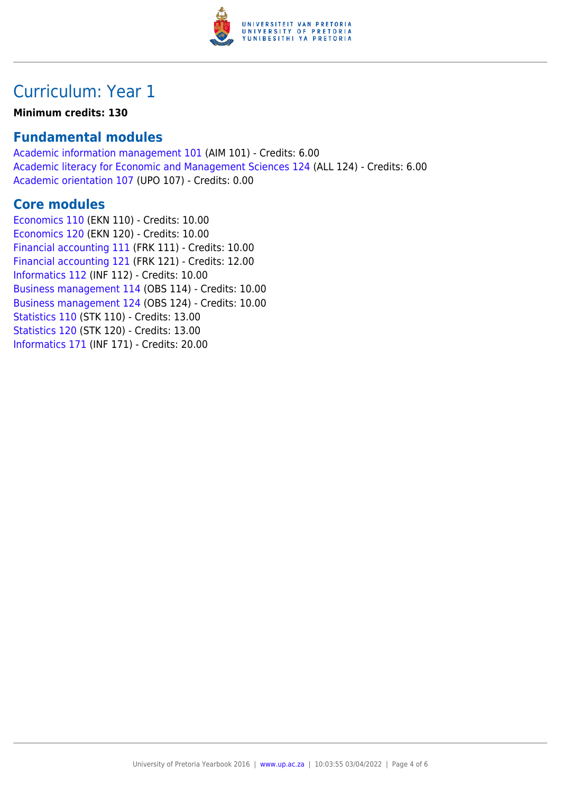

## Curriculum: Year 1

#### **Minimum credits: 130**

### **Fundamental modules**

[Academic information management 101](https://www.up.ac.za/yearbooks/2016/modules/view/AIM 101) (AIM 101) - Credits: 6.00 [Academic literacy for Economic and Management Sciences 124](https://www.up.ac.za/yearbooks/2016/modules/view/ALL 124) (ALL 124) - Credits: 6.00 [Academic orientation 107](https://www.up.ac.za/yearbooks/2016/modules/view/UPO 107) (UPO 107) - Credits: 0.00

### **Core modules**

[Economics 110](https://www.up.ac.za/yearbooks/2016/modules/view/EKN 110) (EKN 110) - Credits: 10.00 [Economics 120](https://www.up.ac.za/yearbooks/2016/modules/view/EKN 120) (EKN 120) - Credits: 10.00 [Financial accounting 111](https://www.up.ac.za/yearbooks/2016/modules/view/FRK 111) (FRK 111) - Credits: 10.00 [Financial accounting 121](https://www.up.ac.za/yearbooks/2016/modules/view/FRK 121) (FRK 121) - Credits: 12.00 [Informatics 112](https://www.up.ac.za/yearbooks/2016/modules/view/INF 112) (INF 112) - Credits: 10.00 [Business management 114](https://www.up.ac.za/yearbooks/2016/modules/view/OBS 114) (OBS 114) - Credits: 10.00 [Business management 124](https://www.up.ac.za/yearbooks/2016/modules/view/OBS 124) (OBS 124) - Credits: 10.00 [Statistics 110](https://www.up.ac.za/yearbooks/2016/modules/view/STK 110) (STK 110) - Credits: 13.00 [Statistics 120](https://www.up.ac.za/yearbooks/2016/modules/view/STK 120) (STK 120) - Credits: 13.00 [Informatics 171](https://www.up.ac.za/yearbooks/2016/modules/view/INF 171) (INF 171) - Credits: 20.00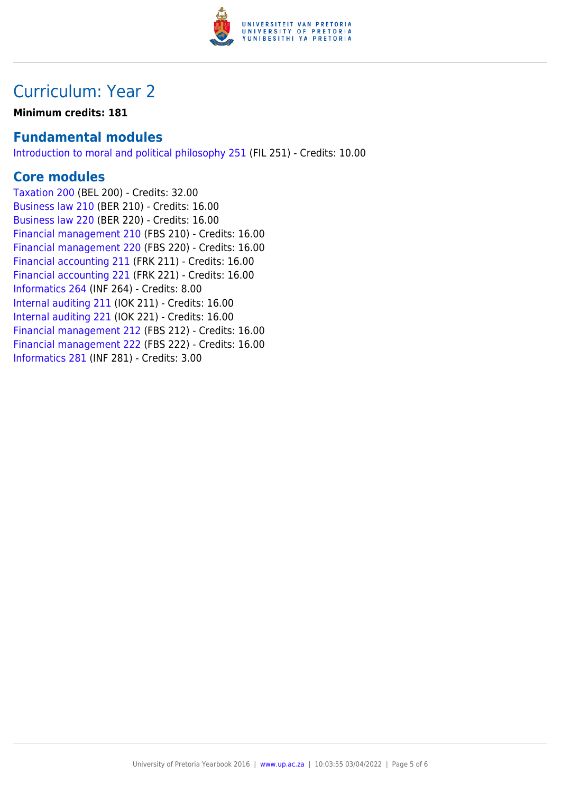

### Curriculum: Year 2

**Minimum credits: 181**

### **Fundamental modules**

[Introduction to moral and political philosophy 251](https://www.up.ac.za/yearbooks/2016/modules/view/FIL 251) (FIL 251) - Credits: 10.00

### **Core modules**

[Taxation 200](https://www.up.ac.za/yearbooks/2016/modules/view/BEL 200) (BEL 200) - Credits: 32.00 [Business law 210](https://www.up.ac.za/yearbooks/2016/modules/view/BER 210) (BER 210) - Credits: 16.00 [Business law 220](https://www.up.ac.za/yearbooks/2016/modules/view/BER 220) (BER 220) - Credits: 16.00 [Financial management 210](https://www.up.ac.za/yearbooks/2016/modules/view/FBS 210) (FBS 210) - Credits: 16.00 [Financial management 220](https://www.up.ac.za/yearbooks/2016/modules/view/FBS 220) (FBS 220) - Credits: 16.00 [Financial accounting 211](https://www.up.ac.za/yearbooks/2016/modules/view/FRK 211) (FRK 211) - Credits: 16.00 [Financial accounting 221](https://www.up.ac.za/yearbooks/2016/modules/view/FRK 221) (FRK 221) - Credits: 16.00 [Informatics 264](https://www.up.ac.za/yearbooks/2016/modules/view/INF 264) (INF 264) - Credits: 8.00 [Internal auditing 211](https://www.up.ac.za/yearbooks/2016/modules/view/IOK 211) (IOK 211) - Credits: 16.00 [Internal auditing 221](https://www.up.ac.za/yearbooks/2016/modules/view/IOK 221) (IOK 221) - Credits: 16.00 [Financial management 212](https://www.up.ac.za/yearbooks/2016/modules/view/FBS 212) (FBS 212) - Credits: 16.00 [Financial management 222](https://www.up.ac.za/yearbooks/2016/modules/view/FBS 222) (FBS 222) - Credits: 16.00 [Informatics 281](https://www.up.ac.za/yearbooks/2016/modules/view/INF 281) (INF 281) - Credits: 3.00